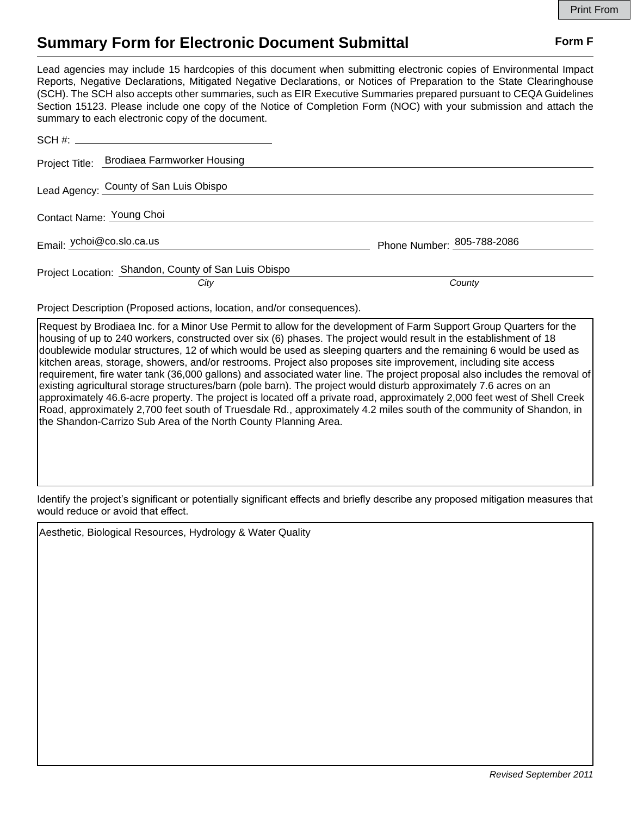## **Summary Form for Electronic Document Submittal Form F Form F**

Lead agencies may include 15 hardcopies of this document when submitting electronic copies of Environmental Impact Reports, Negative Declarations, Mitigated Negative Declarations, or Notices of Preparation to the State Clearinghouse (SCH). The SCH also accepts other summaries, such as EIR Executive Summaries prepared pursuant to CEQA Guidelines Section 15123. Please include one copy of the Notice of Completion Form (NOC) with your submission and attach the summary to each electronic copy of the document.

| Project Title: Brodiaea Farmworker Housing                   |                            |
|--------------------------------------------------------------|----------------------------|
| Lead Agency: County of San Luis Obispo                       |                            |
| Contact Name: Young Choi                                     |                            |
| Email: ychoi@co.slo.ca.us                                    | Phone Number: 805-788-2086 |
| Project Location: Shandon, County of San Luis Obispo<br>City | County                     |

Project Description (Proposed actions, location, and/or consequences).

Request by Brodiaea Inc. for a Minor Use Permit to allow for the development of Farm Support Group Quarters for the housing of up to 240 workers, constructed over six (6) phases. The project would result in the establishment of 18 doublewide modular structures, 12 of which would be used as sleeping quarters and the remaining 6 would be used as kitchen areas, storage, showers, and/or restrooms. Project also proposes site improvement, including site access requirement, fire water tank (36,000 gallons) and associated water line. The project proposal also includes the removal of existing agricultural storage structures/barn (pole barn). The project would disturb approximately 7.6 acres on an approximately 46.6-acre property. The project is located off a private road, approximately 2,000 feet west of Shell Creek Road, approximately 2,700 feet south of Truesdale Rd., approximately 4.2 miles south of the community of Shandon, in the Shandon-Carrizo Sub Area of the North County Planning Area.

Identify the project's significant or potentially significant effects and briefly describe any proposed mitigation measures that would reduce or avoid that effect.

Aesthetic, Biological Resources, Hydrology & Water Quality